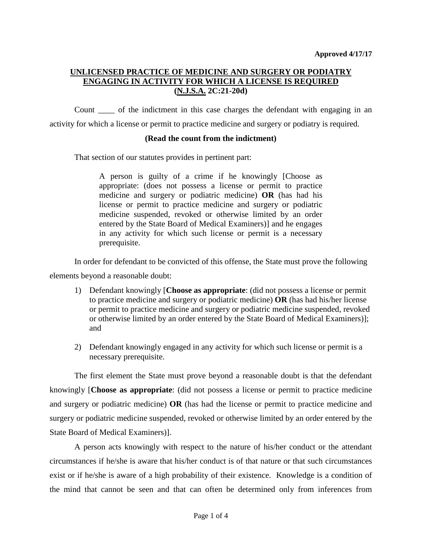# **UNLICENSED PRACTICE OF MEDICINE AND SURGERY OR PODIATRY ENGAGING IN ACTIVITY FOR WHICH A LICENSE IS REQUIRED (N.J.S.A. 2C:21-20d)**

Count \_\_\_\_ of the indictment in this case charges the defendant with engaging in an activity for which a license or permit to practice medicine and surgery or podiatry is required.

## **(Read the count from the indictment)**

That section of our statutes provides in pertinent part:

A person is guilty of a crime if he knowingly [Choose as appropriate: (does not possess a license or permit to practice medicine and surgery or podiatric medicine) **OR** (has had his license or permit to practice medicine and surgery or podiatric medicine suspended, revoked or otherwise limited by an order entered by the State Board of Medical Examiners)] and he engages in any activity for which such license or permit is a necessary prerequisite.

In order for defendant to be convicted of this offense, the State must prove the following

elements beyond a reasonable doubt:

- 1) Defendant knowingly [**Choose as appropriate**: (did not possess a license or permit to practice medicine and surgery or podiatric medicine) **OR** (has had his/her license or permit to practice medicine and surgery or podiatric medicine suspended, revoked or otherwise limited by an order entered by the State Board of Medical Examiners)]; and
- 2) Defendant knowingly engaged in any activity for which such license or permit is a necessary prerequisite.

The first element the State must prove beyond a reasonable doubt is that the defendant knowingly [**Choose as appropriate**: (did not possess a license or permit to practice medicine and surgery or podiatric medicine) **OR** (has had the license or permit to practice medicine and surgery or podiatric medicine suspended, revoked or otherwise limited by an order entered by the State Board of Medical Examiners)].

A person acts knowingly with respect to the nature of his/her conduct or the attendant circumstances if he/she is aware that his/her conduct is of that nature or that such circumstances exist or if he/she is aware of a high probability of their existence. Knowledge is a condition of the mind that cannot be seen and that can often be determined only from inferences from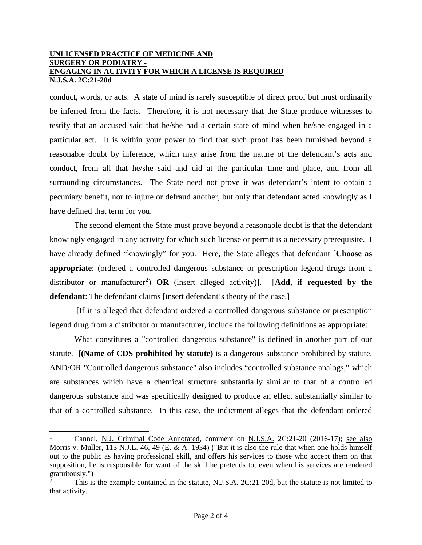#### **UNLICENSED PRACTICE OF MEDICINE AND SURGERY OR PODIATRY - ENGAGING IN ACTIVITY FOR WHICH A LICENSE IS REQUIRED N.J.S.A. 2C:21-20d**

conduct, words, or acts. A state of mind is rarely susceptible of direct proof but must ordinarily be inferred from the facts. Therefore, it is not necessary that the State produce witnesses to testify that an accused said that he/she had a certain state of mind when he/she engaged in a particular act. It is within your power to find that such proof has been furnished beyond a reasonable doubt by inference, which may arise from the nature of the defendant's acts and conduct, from all that he/she said and did at the particular time and place, and from all surrounding circumstances. The State need not prove it was defendant's intent to obtain a pecuniary benefit, nor to injure or defraud another, but only that defendant acted knowingly as I have defined that term for you.<sup>[1](#page-1-0)</sup>

The second element the State must prove beyond a reasonable doubt is that the defendant knowingly engaged in any activity for which such license or permit is a necessary prerequisite. I have already defined "knowingly" for you. Here, the State alleges that defendant [**Choose as appropriate**: (ordered a controlled dangerous substance or prescription legend drugs from a distributor or manufacturer<sup>[2](#page-1-1)</sup>) OR (insert alleged activity)]. [Add, if requested by the **defendant**: The defendant claims [insert defendant's theory of the case.]

[If it is alleged that defendant ordered a controlled dangerous substance or prescription legend drug from a distributor or manufacturer, include the following definitions as appropriate:

What constitutes a "controlled dangerous substance" is defined in another part of our statute. **[(Name of CDS prohibited by statute)** is a dangerous substance prohibited by statute. AND/OR "Controlled dangerous substance" also includes "controlled substance analogs," which are substances which have a chemical structure substantially similar to that of a controlled dangerous substance and was specifically designed to produce an effect substantially similar to that of a controlled substance. In this case, the indictment alleges that the defendant ordered

<span id="page-1-0"></span>Cannel, N.J. Criminal Code Annotated, comment on N.J.S.A. 2C:21-20 (2016-17); see also Morris v. Muller, 113 N.J.L. 46, 49 (E. & A. 1934) ("But it is also the rule that when one holds himself out to the public as having professional skill, and offers his services to those who accept them on that supposition, he is responsible for want of the skill he pretends to, even when his services are rendered gratuitously.")

<span id="page-1-1"></span><sup>2</sup> This is the example contained in the statute, N.J.S.A. 2C:21-20d, but the statute is not limited to that activity.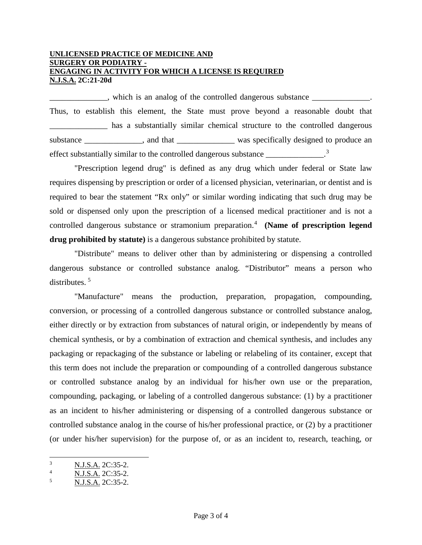### **UNLICENSED PRACTICE OF MEDICINE AND SURGERY OR PODIATRY - ENGAGING IN ACTIVITY FOR WHICH A LICENSE IS REQUIRED N.J.S.A. 2C:21-20d**

 $\Box$ , which is an analog of the controlled dangerous substance  $\Box$ Thus, to establish this element, the State must prove beyond a reasonable doubt that has a substantially similar chemical structure to the controlled dangerous substance \_\_\_\_\_\_\_\_\_\_\_\_, and that \_\_\_\_\_\_\_\_\_\_\_\_\_\_ was specifically designed to produce an effect substantially similar to the controlled dangerous substance \_\_\_\_\_\_\_\_\_\_\_\_\_.<sup>[3](#page-2-0)</sup>

"Prescription legend drug" is defined as any drug which under federal or State law requires dispensing by prescription or order of a licensed physician, veterinarian, or dentist and is required to bear the statement "Rx only" or similar wording indicating that such drug may be sold or dispensed only upon the prescription of a licensed medical practitioner and is not a controlled dangerous substance or stramonium preparation.<sup>[4](#page-2-1)</sup> (Name of prescription legend **drug prohibited by statute)** is a dangerous substance prohibited by statute.

"Distribute" means to deliver other than by administering or dispensing a controlled dangerous substance or controlled substance analog. "Distributor" means a person who distributes. [5](#page-2-2)

"Manufacture" means the production, preparation, propagation, compounding, conversion, or processing of a controlled dangerous substance or controlled substance analog, either directly or by extraction from substances of natural origin, or independently by means of chemical synthesis, or by a combination of extraction and chemical synthesis, and includes any packaging or repackaging of the substance or labeling or relabeling of its container, except that this term does not include the preparation or compounding of a controlled dangerous substance or controlled substance analog by an individual for his/her own use or the preparation, compounding, packaging, or labeling of a controlled dangerous substance: (1) by a practitioner as an incident to his/her administering or dispensing of a controlled dangerous substance or controlled substance analog in the course of his/her professional practice, or (2) by a practitioner (or under his/her supervision) for the purpose of, or as an incident to, research, teaching, or

<span id="page-2-0"></span> <sup>3</sup> <sup>3</sup> N.J.S.A. 2C:35-2.

<span id="page-2-1"></span><sup>4</sup> N.J.S.A. 2C:35-2.

<span id="page-2-2"></span><sup>5</sup> N.J.S.A. 2C:35-2.